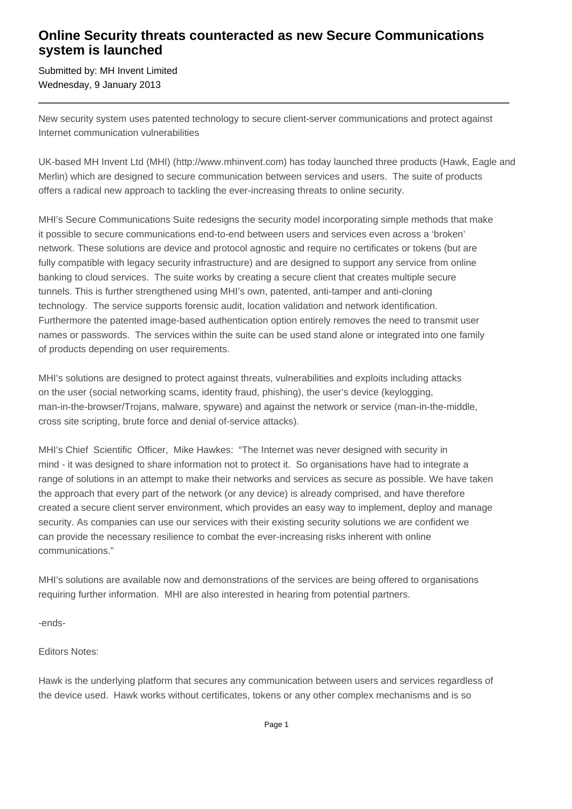## **Online Security threats counteracted as new Secure Communications system is launched**

Submitted by: MH Invent Limited Wednesday, 9 January 2013

New security system uses patented technology to secure client-server communications and protect against Internet communication vulnerabilities

UK-based MH Invent Ltd (MHI) (http://www.mhinvent.com) has today launched three products (Hawk, Eagle and Merlin) which are designed to secure communication between services and users. The suite of products offers a radical new approach to tackling the ever-increasing threats to online security.

MHI's Secure Communications Suite redesigns the security model incorporating simple methods that make it possible to secure communications end-to-end between users and services even across a 'broken' network. These solutions are device and protocol agnostic and require no certificates or tokens (but are fully compatible with legacy security infrastructure) and are designed to support any service from online banking to cloud services. The suite works by creating a secure client that creates multiple secure tunnels. This is further strengthened using MHI's own, patented, anti-tamper and anti-cloning technology. The service supports forensic audit, location validation and network identification. Furthermore the patented image-based authentication option entirely removes the need to transmit user names or passwords. The services within the suite can be used stand alone or integrated into one family of products depending on user requirements.

MHI's solutions are designed to protect against threats, vulnerabilities and exploits including attacks on the user (social networking scams, identity fraud, phishing), the user's device (keylogging, man-in-the-browser/Trojans, malware, spyware) and against the network or service (man-in-the-middle, cross site scripting, brute force and denial of-service attacks).

MHI's Chief Scientific Officer, Mike Hawkes: "The Internet was never designed with security in mind - it was designed to share information not to protect it. So organisations have had to integrate a range of solutions in an attempt to make their networks and services as secure as possible. We have taken the approach that every part of the network (or any device) is already comprised, and have therefore created a secure client server environment, which provides an easy way to implement, deploy and manage security. As companies can use our services with their existing security solutions we are confident we can provide the necessary resilience to combat the ever-increasing risks inherent with online communications."

MHI's solutions are available now and demonstrations of the services are being offered to organisations requiring further information. MHI are also interested in hearing from potential partners.

-ends-

Editors Notes:

Hawk is the underlying platform that secures any communication between users and services regardless of the device used. Hawk works without certificates, tokens or any other complex mechanisms and is so